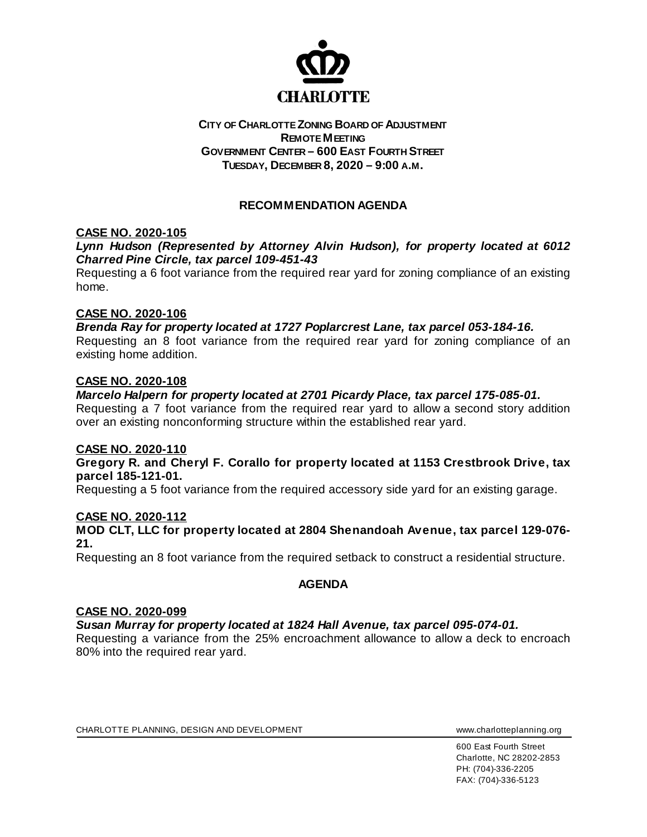

## **CITY OF CHARLOTTE ZONING BOARD OF ADJUSTMENT REMOTE MEETING GOVERNMENT CENTER – 600 EAST FOURTH STREET TUESDAY, DECEMBER 8, 2020 – 9:00 A.M.**

# **RECOMMENDATION AGENDA**

# **CASE NO. 2020-105**

## *Lynn Hudson (Represented by Attorney Alvin Hudson), for property located at 6012 Charred Pine Circle, tax parcel 109-451-43*

Requesting a 6 foot variance from the required rear yard for zoning compliance of an existing home.

### **CASE NO. 2020-106**

*Brenda Ray for property located at 1727 Poplarcrest Lane, tax parcel 053-184-16.*  Requesting an 8 foot variance from the required rear yard for zoning compliance of an existing home addition.

### **CASE NO. 2020-108**

### *Marcelo Halpern for property located at 2701 Picardy Place, tax parcel 175-085-01.*

Requesting a 7 foot variance from the required rear yard to allow a second story addition over an existing nonconforming structure within the established rear yard.

#### **CASE NO. 2020-110**

**Gregory R. and Cheryl F. Corallo for property located at 1153 Crestbrook Drive, tax parcel 185-121-01.**

Requesting a 5 foot variance from the required accessory side yard for an existing garage.

## **CASE NO. 2020-112**

**MOD CLT, LLC for property located at 2804 Shenandoah Avenue, tax parcel 129-076- 21.** 

Requesting an 8 foot variance from the required setback to construct a residential structure.

## **AGENDA**

#### **CASE NO. 2020-099**

### *Susan Murray for property located at 1824 Hall Avenue, tax parcel 095-074-01.*

Requesting a variance from the 25% encroachment allowance to allow a deck to encroach 80% into the required rear yard.

CHARLOTTE PLANNING, DESIGN AND DEVELOPMENT WWW.charlotteplanning.org

600 East Fourth Street Charlotte, NC 28202-2853 PH: (704)-336-2205 FAX: (704)-336-5123